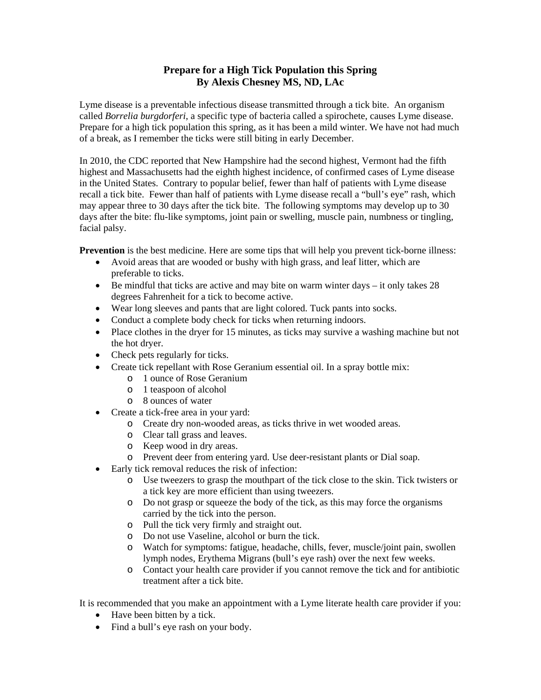## **Prepare for a High Tick Population this Spring By Alexis Chesney MS, ND, LAc**

Lyme disease is a preventable infectious disease transmitted through a tick bite. An organism called *Borrelia burgdorferi*, a specific type of bacteria called a spirochete, causes Lyme disease. Prepare for a high tick population this spring, as it has been a mild winter. We have not had much of a break, as I remember the ticks were still biting in early December.

In 2010, the CDC reported that New Hampshire had the second highest, Vermont had the fifth highest and Massachusetts had the eighth highest incidence, of confirmed cases of Lyme disease in the United States. Contrary to popular belief, fewer than half of patients with Lyme disease recall a tick bite. Fewer than half of patients with Lyme disease recall a "bull's eye" rash, which may appear three to 30 days after the tick bite. The following symptoms may develop up to 30 days after the bite: flu-like symptoms, joint pain or swelling, muscle pain, numbness or tingling, facial palsy.

**Prevention** is the best medicine. Here are some tips that will help you prevent tick-borne illness:

- Avoid areas that are wooded or bushy with high grass, and leaf litter, which are preferable to ticks.
- Be mindful that ticks are active and may bite on warm winter days  $-$  it only takes 28 degrees Fahrenheit for a tick to become active.
- Wear long sleeves and pants that are light colored. Tuck pants into socks.
- Conduct a complete body check for ticks when returning indoors.
- Place clothes in the dryer for 15 minutes, as ticks may survive a washing machine but not the hot dryer.
- Check pets regularly for ticks.
- Create tick repellant with Rose Geranium essential oil. In a spray bottle mix:
	- o 1 ounce of Rose Geranium
	- o 1 teaspoon of alcohol
	- o 8 ounces of water
- Create a tick-free area in your yard:
	- o Create dry non-wooded areas, as ticks thrive in wet wooded areas.
	- o Clear tall grass and leaves.
	- o Keep wood in dry areas.
	- o Prevent deer from entering yard. Use deer-resistant plants or Dial soap.
- Early tick removal reduces the risk of infection:
	- o Use tweezers to grasp the mouthpart of the tick close to the skin. Tick twisters or a tick key are more efficient than using tweezers.
	- o Do not grasp or squeeze the body of the tick, as this may force the organisms carried by the tick into the person.
	- o Pull the tick very firmly and straight out.
	- o Do not use Vaseline, alcohol or burn the tick.
	- o Watch for symptoms: fatigue, headache, chills, fever, muscle/joint pain, swollen lymph nodes, Erythema Migrans (bull's eye rash) over the next few weeks.
	- o Contact your health care provider if you cannot remove the tick and for antibiotic treatment after a tick bite.

It is recommended that you make an appointment with a Lyme literate health care provider if you:

- Have been bitten by a tick.
- Find a bull's eye rash on your body.